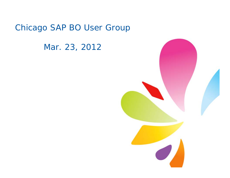## Chicago SAP BO User Group

Mar. 23, 2012

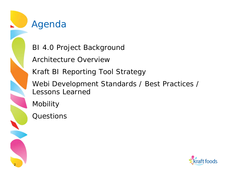

## Agenda

BI 4.0 Project Background

Architecture Overview

Kraft BI Reporting Tool Strategy

Webi Development Standards / Best Practices / Lessons Learned

Mobility

**Questions** 

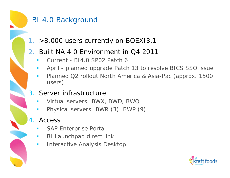#### BI 4.0 Background

1. >8,000 users currently on BOEXI3.1

#### 2. Built NA 4.0 Environment in Q4 2011

- Current - BI4.0 SP02 Patch 6
- April planned upgrade Patch 13 to resolve BICS SSO issue
- Planned Q2 rollout North America & Asia-Pac (approx. 1500 users)

#### 3. Server infrastructure

- Virtual servers: BWX, BWD, BWQ
- Physical servers: BWR (3), BWP (9)

#### 4. Access

- SAP Enterprise Portal
- e<br>S BI Launchpad direct link
- e<br>S Interactive Analysis Desktop

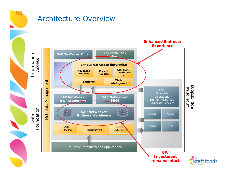#### Architecture Overview

 $\frac{1}{2}$ 



kraft foods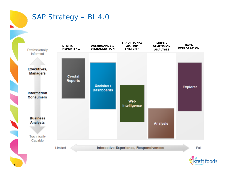# SAP Strategy – BI 4.0



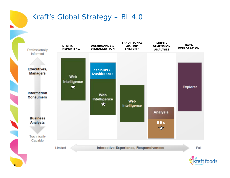#### Kraft's Global Strategy – BI 4.0



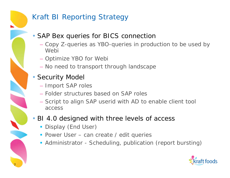#### Kraft BI Reporting Strategy

• SAP Bex queries for BICS connection

- Copy Z-queries as YBO-queries in production to be used by Webi
- Optimize YBO for Webi
- No need to transport through landscape
- Security Model

7

- Import SAP roles
- Folder structures based on SAP roles
- Script to align SAP userid with AD to enable client tool access
- BI 4.0 designed with three levels of access
	- **Display (End User)**
	- **Power User can create / edit queries**
	- **Administrator Scheduling, publication (report bursting)**

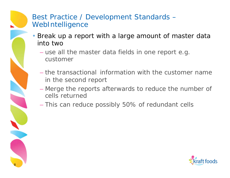#### Best Practice / Development Standards – WebIntelligence

- Break up a report with a large amount of master data into two
	- use all the master data fields in one report e.g. customer
	- the transactional information with the customer name in the second report
	- Merge the reports afterwards to reduce the number of cells returned
	- This can reduce possibly 50% of redundant cells

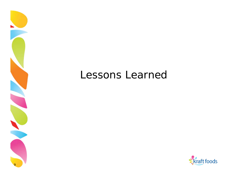# Lessons Learned

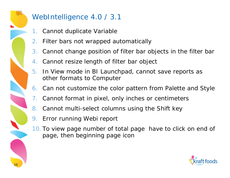## WebIntelligence 4.0 / 3.1

- 1. Cannot duplicate Variable
- 2. Filter bars not wrapped automatically
- 3. Cannot change position of filter bar objects in the filter bar
- 4. Cannot resize length of filter bar object
- 5. In View mode in BI Launchpad, cannot save reports as other formats to Computer
- 6. Can not customize the color pattern from Palette and Style
- 7. Cannot format in pixel, only inches or centimeters
- 8. Cannot multi-select columns using the Shift key
- 9. Error running Webi report
- 10. To view page number of total page have to click on end of page, then beginning page icon

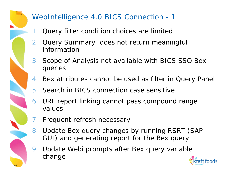## WebIntelligence 4.0 BICS Connection - 1

- 1. Query filter condition choices are limited
- 2. Query Summary does not return meaningful information
- 3. Scope of Analysis not available with BICS SSO Bex queries
- 4. Bex attributes cannot be used as filter in Query Panel
- 5. Search in BICS connection case sensitive
- 6. URL report linking cannot pass compound range values
- 7. Frequent refresh necessary
- 8. Update Bex query changes by running RSRT (SAP GUI) and generating report for the Bex query
- 9. Update Webi prompts after Bex query variable change

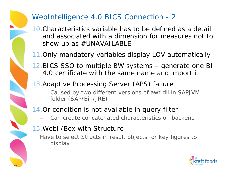#### WebIntelligence 4.0 BICS Connection - 2

- 10.Characteristics variable has to be defined as a detail and associated with a dimension for measures not to show up as  $\#$ UNAVAILABLE
- 11.Only mandatory variables display LOV automatically
- 12.BICS SSO to multiple BW systems generate one BI 4.0 certificate with the same name and import it
- 13.Adaptive Processing Server (APS) failure
	- Caused by two different versions of awt.dll in SAPJVM folder (SAP/Bin/JRE)
- 14.Or condition is not available in query filter
	- Can create concatenated characteristics on backend
- 15.Webi /Bex with Structure
	- Have to select Structs in result objects for key figures to display

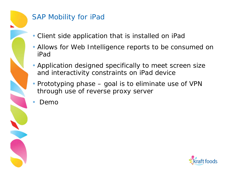## SAP Mobility for iPad

- Client side application that is installed on iPad
- Allows for Web Intelligence reports to be consumed on iPad
- Application designed specifically to meet screen size and interactivity constraints on iPad device
- Prototyping phase goal is to eliminate use of VPN through use of reverse proxy server
- Demo